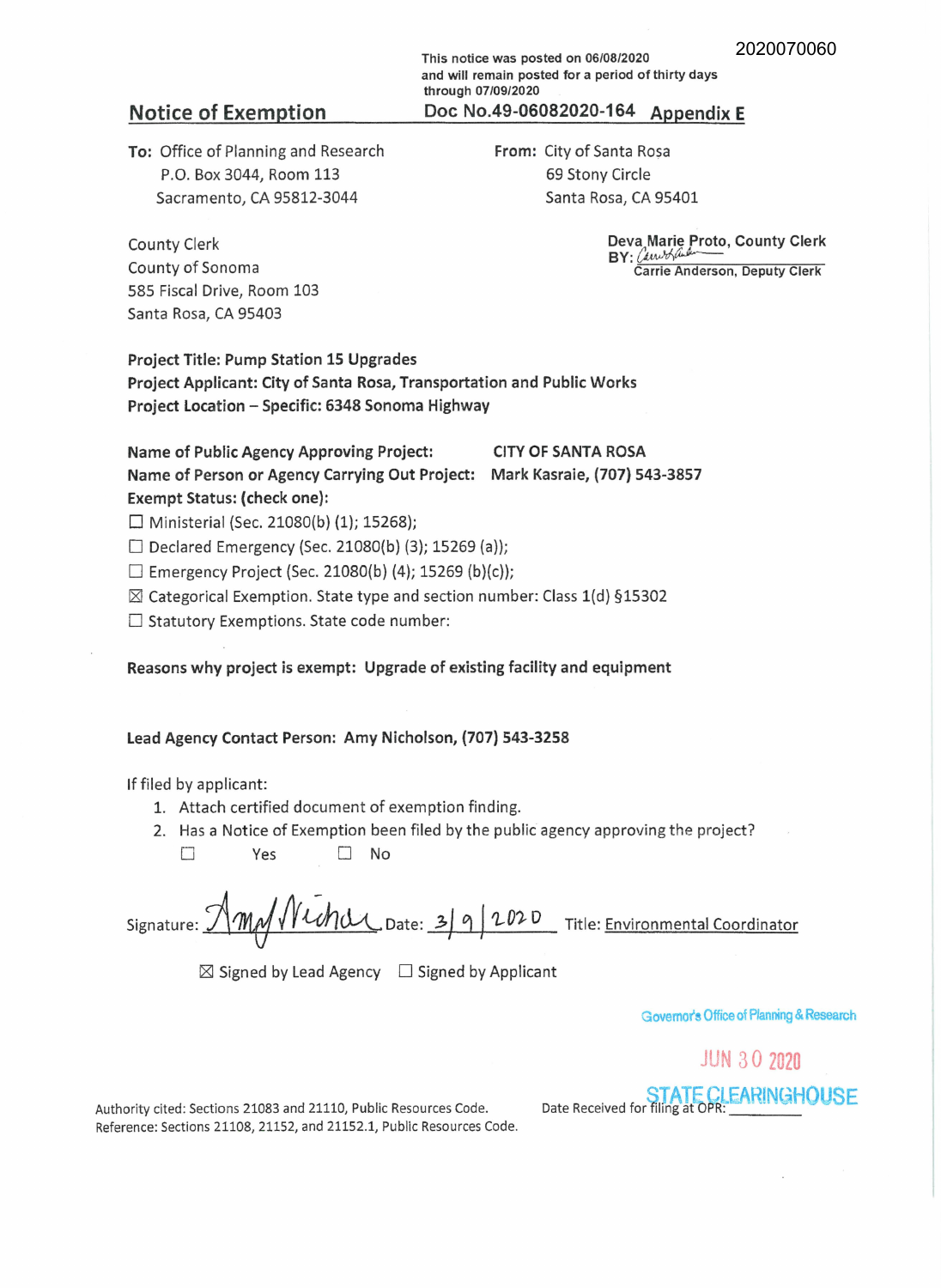**This notice was posted on 06/08/2020 and will remain posted for a period of thirty days through 07/09/2020**  Notice of Exemption **Doc No.49-06082020-164 Appendix E** 

**To:** Office of Planning and Research P.O. Box 3044, Room 113 Sacramento, CA 95812-3044

**From:** City of Santa Rosa 69 Stony Circle Santa Rosa, CA 95401

> **Deva Marie Proto, County Clerk**   $BY:$  *Lawblander* **Carrie Anderson, Deputy Clerk**

County Clerk County of Sonoma 585 Fiscal Drive, Room 103 Santa Rosa, CA 95403

**Project Title: Pump Station 15 Upgrades Project Applicant: City of Santa Rosa, Transportation and Public Works Project Location** - **Specific: 6348 Sonoma Highway** 

# Name of Public Agency Approving Project: **CITY OF SANTA ROSA Name of Person or Agency Carrying Out Project: Mark Kasraie, (707) 543-3857 Exempt Status: (check one):**

 $\Box$  Ministerial (Sec. 21080(b) (1); 15268);

 $\Box$  Declared Emergency (Sec. 21080(b) (3); 15269 (a));

 $\Box$  Emergency Project (Sec. 21080(b) (4); 15269 (b)(c));

 $\boxtimes$  Categorical Exemption. State type and section number: Class 1(d) §15302

□ Statutory Exemptions. State code number:

**Reasons why project is exempt: Upgrade of existing facility and equipment** 

### **Lead Agency Contact Person: Amy Nicholson, (707) 543-3258**

If filed by applicant:

- 1. Attach certified document of exemption finding.
- 2. Has a Notice of Exemption been filed by the public agency approving the project?

□ Yes □ No

Signature: **Amy Wichard** Date: 3 9 2020 Title: Environmental Coordinator

 $\boxtimes$  Signed by Lead Agency  $\Box$  Signed by Applicant

**Govemofs Office of Planning** & **Research** 

# JUN 3 0 2020

Authority cited: Sections 21083 and 21110, Public Resources Code. Reference: Sections 21108, 21152, and 21152.1, Public Resources Code. <sup>D</sup>t R . d f sf. <sup>1</sup> TATtE0CPRLEARIN~HOUSE a e ece1ve or I mg a : \_\_\_ \_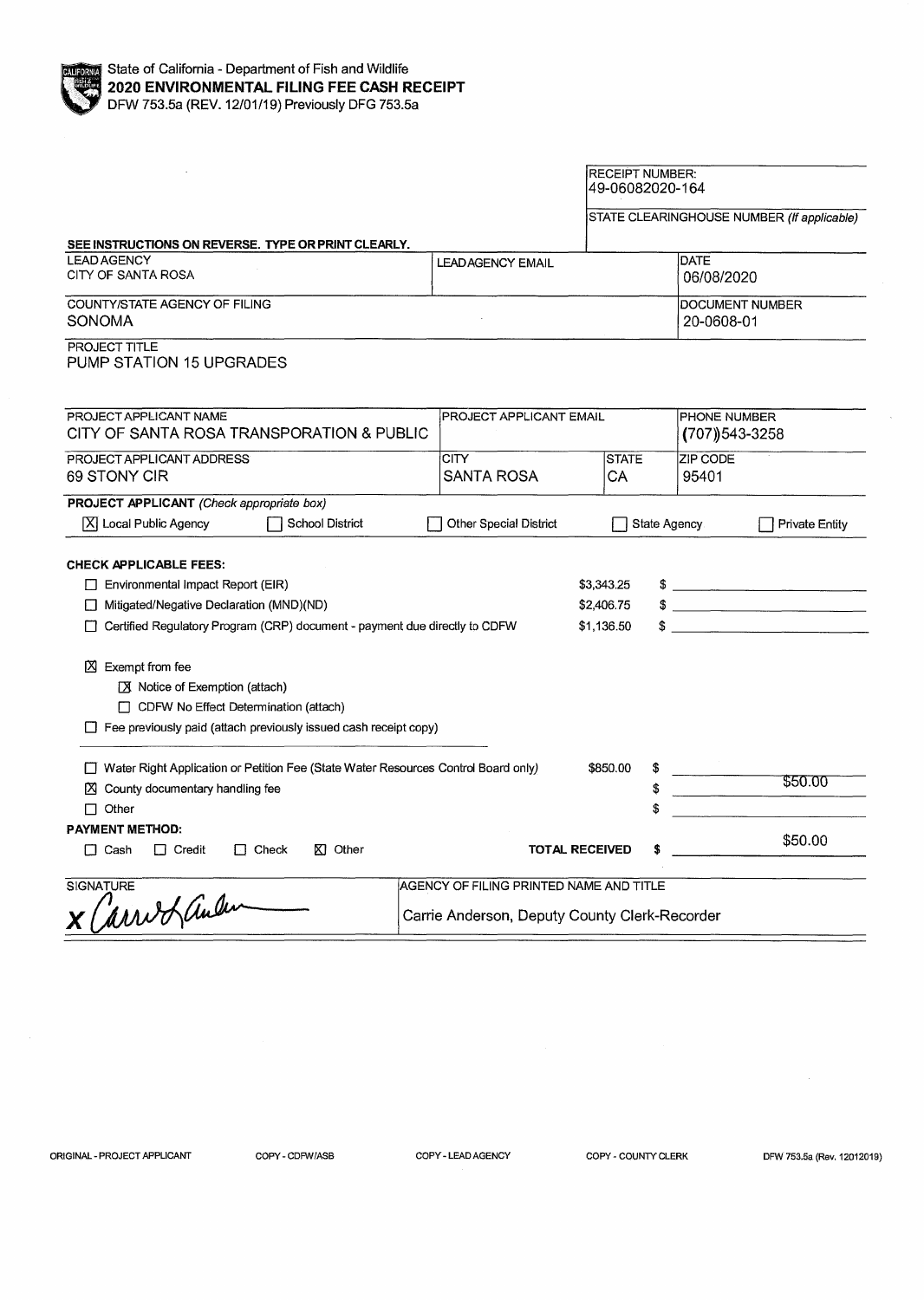

|                                                                                                                                                                                                                                                                                                               |                                                                                          | <b>RECEIPT NUMBER:</b><br>49-06082020-164 |              |                                      |                                                                                                                                                                                                                                                                                                                                                       |  |
|---------------------------------------------------------------------------------------------------------------------------------------------------------------------------------------------------------------------------------------------------------------------------------------------------------------|------------------------------------------------------------------------------------------|-------------------------------------------|--------------|--------------------------------------|-------------------------------------------------------------------------------------------------------------------------------------------------------------------------------------------------------------------------------------------------------------------------------------------------------------------------------------------------------|--|
|                                                                                                                                                                                                                                                                                                               |                                                                                          |                                           |              |                                      | STATE CLEARINGHOUSE NUMBER (If applicable)                                                                                                                                                                                                                                                                                                            |  |
| SEE INSTRUCTIONS ON REVERSE. TYPE OR PRINT CLEARLY.                                                                                                                                                                                                                                                           |                                                                                          |                                           |              |                                      |                                                                                                                                                                                                                                                                                                                                                       |  |
| <b>LEAD AGENCY</b><br>CITY OF SANTA ROSA                                                                                                                                                                                                                                                                      | <b>LEADAGENCY EMAIL</b>                                                                  |                                           |              | <b>DATE</b><br>06/08/2020            |                                                                                                                                                                                                                                                                                                                                                       |  |
| COUNTY/STATE AGENCY OF FILING<br>SONOMA                                                                                                                                                                                                                                                                       |                                                                                          |                                           |              | <b>DOCUMENT NUMBER</b><br>20-0608-01 |                                                                                                                                                                                                                                                                                                                                                       |  |
| PROJECT TITLE<br>PUMP STATION 15 UPGRADES                                                                                                                                                                                                                                                                     |                                                                                          |                                           |              |                                      |                                                                                                                                                                                                                                                                                                                                                       |  |
| PROJECT APPLICANT NAME<br>CITY OF SANTA ROSA TRANSPORATION & PUBLIC                                                                                                                                                                                                                                           | PROJECT APPLICANT EMAIL                                                                  |                                           |              | PHONE NUMBER<br>$(707)$ 543-3258     |                                                                                                                                                                                                                                                                                                                                                       |  |
| PROJECT APPLICANT ADDRESS<br>69 STONY CIR                                                                                                                                                                                                                                                                     | <b>CITY</b><br><b>SANTA ROSA</b>                                                         | СA                                        | <b>STATE</b> |                                      | ZIP CODE<br>95401                                                                                                                                                                                                                                                                                                                                     |  |
| PROJECT APPLICANT (Check appropriate box)                                                                                                                                                                                                                                                                     |                                                                                          |                                           |              |                                      |                                                                                                                                                                                                                                                                                                                                                       |  |
| X  Local Public Agency<br><b>School District</b>                                                                                                                                                                                                                                                              | Other Special District                                                                   |                                           | State Agency |                                      | <b>Private Entity</b>                                                                                                                                                                                                                                                                                                                                 |  |
| <b>CHECK APPLICABLE FEES:</b><br>$\Box$ Environmental Impact Report (EIR)<br>Mitigated/Negative Declaration (MND)(ND)<br>Certified Regulatory Program (CRP) document - payment due directly to CDFW<br>$\boxtimes$ Exempt from fee<br>◯ Notice of Exemption (attach)<br>CDFW No Effect Determination (attach) |                                                                                          | \$3,343.25<br>\$2,406.75<br>\$1,136.50    |              |                                      | $\frac{1}{2}$<br>$\frac{1}{2}$<br>$\frac{1}{2}$ $\frac{1}{2}$ $\frac{1}{2}$ $\frac{1}{2}$ $\frac{1}{2}$ $\frac{1}{2}$ $\frac{1}{2}$ $\frac{1}{2}$ $\frac{1}{2}$ $\frac{1}{2}$ $\frac{1}{2}$ $\frac{1}{2}$ $\frac{1}{2}$ $\frac{1}{2}$ $\frac{1}{2}$ $\frac{1}{2}$ $\frac{1}{2}$ $\frac{1}{2}$ $\frac{1}{2}$ $\frac{1}{2}$ $\frac{1}{2}$ $\frac{1}{2}$ |  |
| Fee previously paid (attach previously issued cash receipt copy)                                                                                                                                                                                                                                              |                                                                                          |                                           |              |                                      |                                                                                                                                                                                                                                                                                                                                                       |  |
| Water Right Application or Petition Fee (State Water Resources Control Board only)<br>\$850.00<br>X County documentary handling fee<br>$\Box$ Other                                                                                                                                                           |                                                                                          |                                           | \$<br>\$     |                                      | \$50.00                                                                                                                                                                                                                                                                                                                                               |  |
| <b>PAYMENT METHOD:</b>                                                                                                                                                                                                                                                                                        |                                                                                          |                                           |              |                                      | \$50.00                                                                                                                                                                                                                                                                                                                                               |  |
| $\Box$ Check<br>KI Other<br>$\Box$ Cash<br>$\Box$ Credit                                                                                                                                                                                                                                                      |                                                                                          | <b>TOTAL RECEIVED</b>                     | Ŝ            |                                      |                                                                                                                                                                                                                                                                                                                                                       |  |
| <b>SIGNATURE</b><br>arrio Landen                                                                                                                                                                                                                                                                              | AGENCY OF FILING PRINTED NAME AND TITLE<br>Carrie Anderson, Deputy County Clerk-Recorder |                                           |              |                                      |                                                                                                                                                                                                                                                                                                                                                       |  |